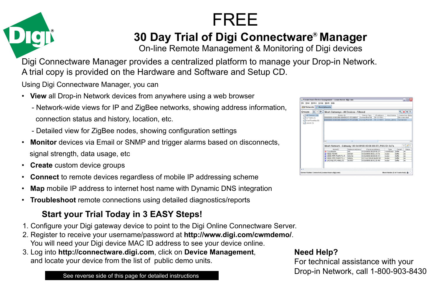



**30 Day Trial of Digi Connectware<sup>®</sup> Manager** 

On-line Remote Management & Monitoring of Digi devices

Digi Connectware Manager provides a centralized platform to manage your Drop-in Network. A trial copy is provided on the Hardware and Software and Setup CD.

Using Digi Connectware Manager, you can

- **View** all Drop-in Network devices from anywhere using a web browser
	- Network-wide views for IP and ZigBee networks, showing address information, connection status and history, location, etc.
	- Detailed view for ZigBee nodes, showing configuration settings
- **Monitor** devices via Email or SNMP and trigger alarms based on disconnects, signal strength, data usage, etc
- **Create** custom device groups
- **Connect** to remote devices regardless of mobile IP addressing scheme
- **Map** mobile IP address to internet host name with Dynamic DNS integration
- **Troubleshoot** remote connections using detailed diagnostics/reports

# **Start your Trial Today in 3 EASY Steps!**

- 1. Configure your Digi gateway device to point to the Digi Online Connectware Server.
- 2. Register to receive your username/password at **http://www.digi.com/cwmdemo/**. You will need your Digi device MAC ID address to see your device online.
- 3. Log into **http://connectware.digi.com**, click on **Device Management**, and locate your device from the list of public demo units.

| $A \times 6$<br>Groups | Mesh Gateways - All Devices - Filtered                         |                 |                                                   |                  |                  |                         | $Q$ $\boldsymbol{\times}$ $\phi$ $\boldsymbol{\Sigma}$ : |
|------------------------|----------------------------------------------------------------|-----------------|---------------------------------------------------|------------------|------------------|-------------------------|----------------------------------------------------------|
| All Devices (39)       | Device ID                                                      |                 | Device Type                                       | IP Address       | Host Name        |                         | Connection Status                                        |
| CE CP WAN (7)          | 00000000.0000000.004090FF-FF298007                             |                 | ConnectPort XR                                    | 70121791         |                  |                         | Disconnected                                             |
| Curt Roadtrip (1)      | 00000000-0000000-00409DFF-FF297898 ConnectPortXR               |                 |                                                   | 70121085         | ember demo       | Connected               |                                                          |
|                        | c                                                              |                 |                                                   |                  |                  |                         | r                                                        |
|                        | Mesh Network - Gateway: 00:0d:6f:00:00:06:89:37 , PAN ID: 0x7a |                 |                                                   |                  |                  |                         | $\times$ $\sim$                                          |
|                        | Nede ID                                                        | Nebenrk Address |                                                   | Physical Address | Type             | Parent                  | Status                                                   |
|                        | Coordinator                                                    | Ox0             | 00:04:8100.00:06:89:37                            |                  | coordinator      | Outfie                  | ok                                                       |
|                        | XRFF-RS485                                                     | 0x93h1          | 00:04:000.00.05:c9:7al                            |                  | router           | <b>Duffle</b>           | ok                                                       |
|                        | XBEE-RTR-PWRCTL-R                                              | 0/8630          | 00:04:0700.00.06:09:31                            |                  | roster           | <b>Duffle</b>           | ok                                                       |
|                        | XBEE-RTR-PWRCTL-L<br>A JACKALOPE-ANALOG                        | OdeOa<br>0x3957 | 00:13:42:00:40:0a:09:35f<br>00:04:00:00:12:28:491 |                  | router<br>router | Outfie<br><b>Duffin</b> | ok<br>ok                                                 |

#### **Need Help?**

For technical assistance with your Drop-in Network, call 1-800-903-8430 See reverse side of this page for detailed instructions